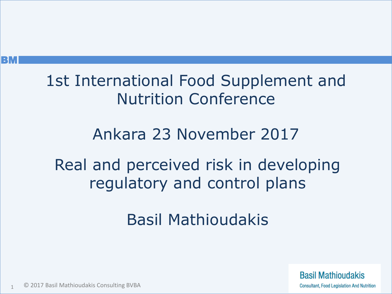#### 1st International Food Supplement and Nutrition Conference

#### Ankara 23 November 2017

#### Real and perceived risk in developing regulatory and control plans

#### Basil Mathioudakis

**Basil Mathioudakis Consultant, Food Legislation And Nutrition** 

© 2017 Basil Mathioudakis Consulting BVBA 1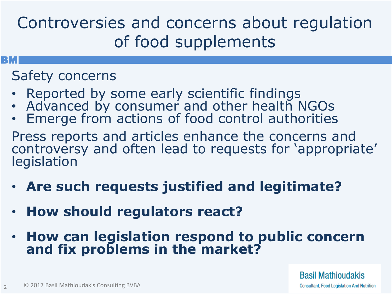#### Controversies and concerns about regulation of food supplements

#### **BM**

2

#### Safety concerns

- Reported by some early scientific findings
- Advanced by consumer and other health NGOs
- Emerge from actions of food control authorities
- Press reports and articles enhance the concerns and controversy and often lead to requests for 'appropriate' legislation
- **Are such requests justified and legitimate?**
- **How should regulators react?**
- **How can legislation respond to public concern and fix problems in the market?**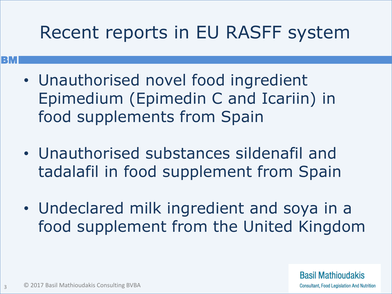#### Recent reports in EU RASFF system

- Unauthorised novel food ingredient Epimedium (Epimedin C and Icariin) in food supplements from Spain
- Unauthorised substances sildenafil and tadalafil in food supplement from Spain
- Undeclared milk ingredient and soya in a food supplement from the United Kingdom

**Basil Mathioudakis Consultant, Food Legislation And Nutrition** 

**BM**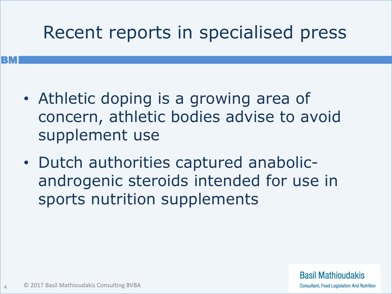### Recent reports in specialised press

- Athletic doping is a growing area of concern, athletic bodies advise to avoid supplement use
- Dutch authorities captured anabolicandrogenic steroids intended for use in sports nutrition supplements

**BM**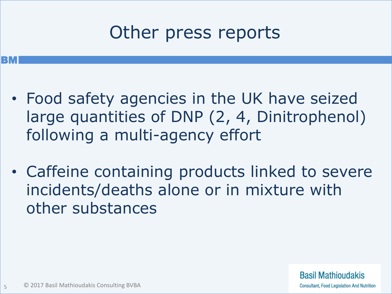### Other press reports

- Food safety agencies in the UK have seized large quantities of DNP (2, 4, Dinitrophenol) following a multi-agency effort
- Caffeine containing products linked to severe incidents/deaths alone or in mixture with other substances

**BM**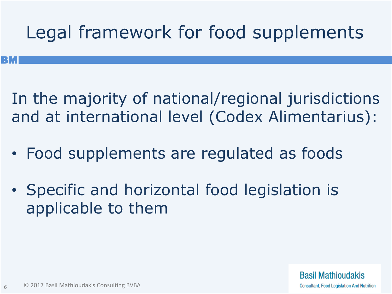## Legal framework for food supplements

In the majority of national/regional jurisdictions and at international level (Codex Alimentarius):

- Food supplements are regulated as foods
- Specific and horizontal food legislation is applicable to them

**BM**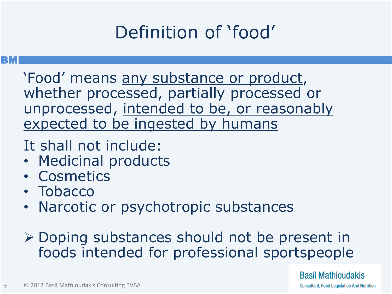## Definition of 'food'

#### **BM**

'Food' means any substance or product, whether processed, partially processed or unprocessed, intended to be, or reasonably expected to be ingested by humans

- It shall not include:
- Medicinal products
- Cosmetics
- Tobacco
- Narcotic or psychotropic substances
- Doping substances should not be present in foods intended for professional sportspeople

**Basil Mathioudakis** 

**Consultant, Food Legislation And Nutrition**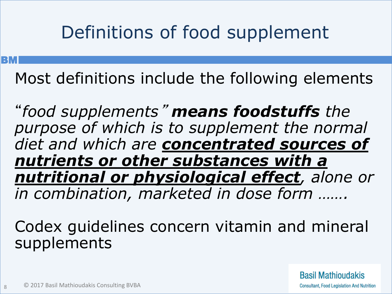### Definitions of food supplement

**BM** 

8

Most definitions include the following elements

"*food supplements*" *means foodstuffs the purpose of which is to supplement the normal diet and which are concentrated sources of nutrients or other substances with a nutritional or physiological effect, alone or in combination, marketed in dose form …….*

Codex guidelines concern vitamin and mineral supplements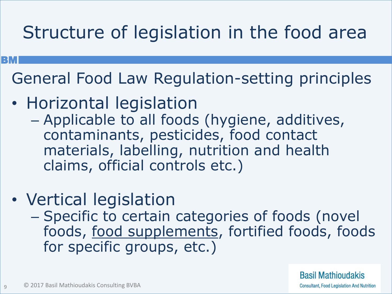## Structure of legislation in the food area

General Food Law Regulation-setting principles

• Horizontal legislation

**BM** 

9

- Applicable to all foods (hygiene, additives, contaminants, pesticides, food contact materials, labelling, nutrition and health claims, official controls etc.)
- Vertical legislation
	- Specific to certain categories of foods (novel foods, food supplements, fortified foods, foods for specific groups, etc.)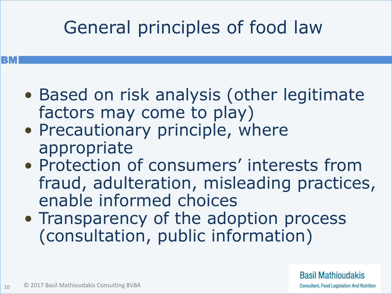## General principles of food law

- Based on risk analysis (other legitimate factors may come to play)
- Precautionary principle, where appropriate
- Protection of consumers' interests from fraud, adulteration, misleading practices, enable informed choices
- Transparency of the adoption process (consultation, public information)

**Basil Mathioudakis Consultant, Food Legislation And Nutrition**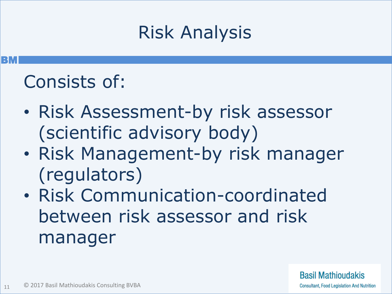#### Risk Analysis

#### Consists of:

**BM** 

- Risk Assessment-by risk assessor (scientific advisory body)
- Risk Management-by risk manager (regulators)
- Risk Communication-coordinated between risk assessor and risk manager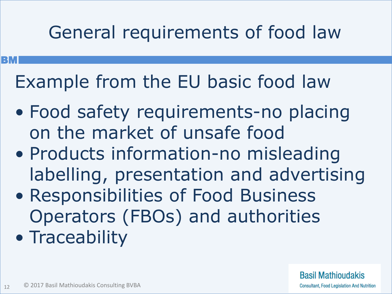## General requirements of food law

Example from the EU basic food law

- Food safety requirements-no placing on the market of unsafe food
- Products information-no misleading labelling, presentation and advertising
- Responsibilities of Food Business Operators (FBOs) and authorities
- Traceability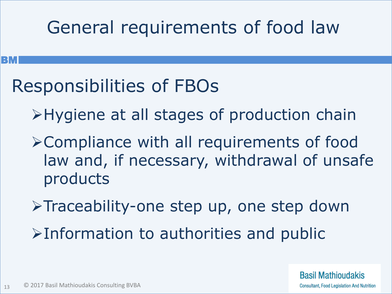#### General requirements of food law

#### Responsibilities of FBOs

- Hygiene at all stages of production chain
- Compliance with all requirements of food law and, if necessary, withdrawal of unsafe products
- >Traceability-one step up, one step down  $\triangleright$ Information to authorities and public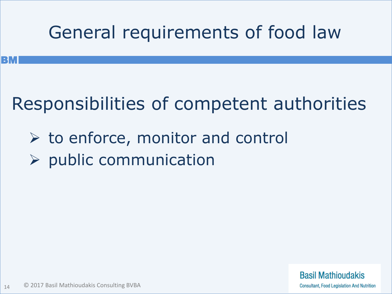### General requirements of food law

### Responsibilities of competent authorities

- $\triangleright$  to enforce, monitor and control
- $\triangleright$  public communication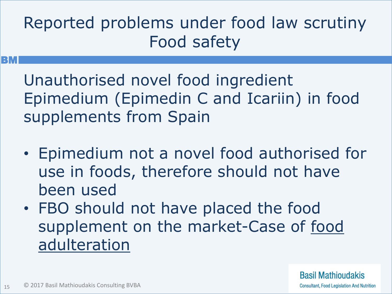#### Reported problems under food law scrutiny Food safety

Unauthorised novel food ingredient Epimedium (Epimedin C and Icariin) in food supplements from Spain

- Epimedium not a novel food authorised for use in foods, therefore should not have been used
- FBO should not have placed the food supplement on the market-Case of food adulteration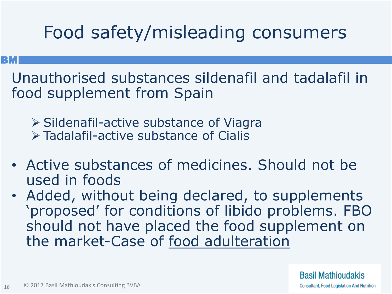## Food safety/misleading consumers

#### **BM**

Unauthorised substances sildenafil and tadalafil in food supplement from Spain

 $\triangleright$  Sildenafil-active substance of Viagra Tadalafil-active substance of Cialis

- Active substances of medicines. Should not be used in foods
- Added, without being declared, to supplements 'proposed' for conditions of libido problems. FBO should not have placed the food supplement on the market-Case of food adulteration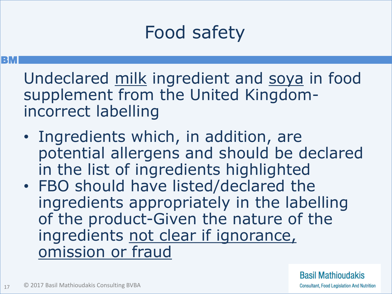## Food safety

Undeclared milk ingredient and soya in food supplement from the United Kingdomincorrect labelling

- Ingredients which, in addition, are potential allergens and should be declared in the list of ingredients highlighted
- FBO should have listed/declared the ingredients appropriately in the labelling of the product-Given the nature of the ingredients not clear if ignorance, omission or fraud

**Basil Mathioudakis Consultant, Food Legislation And Nutrition**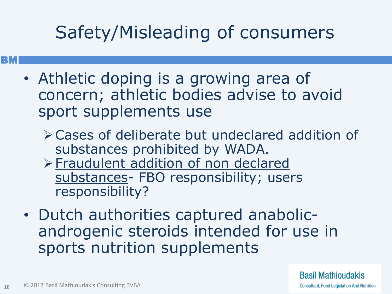### Safety/Misleading of consumers

- Athletic doping is a growing area of concern; athletic bodies advise to avoid sport supplements use
	- Cases of deliberate but undeclared addition of substances prohibited by WADA.
	- Fraudulent addition of non declared substances- FBO responsibility; users responsibility?
- Dutch authorities captured anabolicandrogenic steroids intended for use in sports nutrition supplements

**Basil Mathioudakis Consultant, Food Legislation And Nutrition**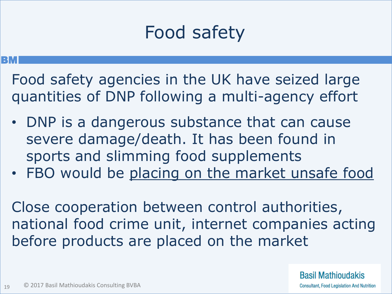## Food safety

#### **BM**

- Food safety agencies in the UK have seized large quantities of DNP following a multi-agency effort
- DNP is a dangerous substance that can cause severe damage/death. It has been found in sports and slimming food supplements
- FBO would be placing on the market unsafe food

Close cooperation between control authorities, national food crime unit, internet companies acting before products are placed on the market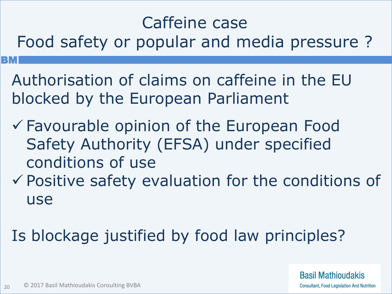#### Caffeine case

Food safety or popular and media pressure ?

- Authorisation of claims on caffeine in the EU blocked by the European Parliament
- Favourable opinion of the European Food Safety Authority (EFSA) under specified conditions of use
- $\checkmark$  Positive safety evaluation for the conditions of use
- Is blockage justified by food law principles?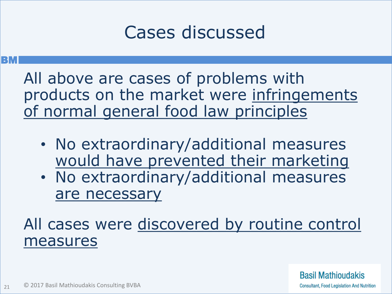#### Cases discussed

#### **BM**

All above are cases of problems with products on the market were infringements of normal general food law principles

- No extraordinary/additional measures would have prevented their marketing
- No extraordinary/additional measures are necessary

#### All cases were discovered by routine control measures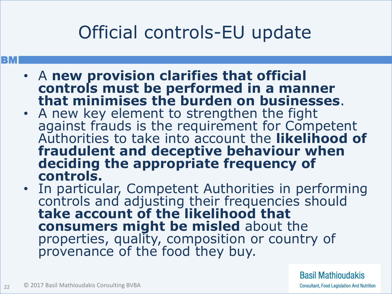## Official controls-EU update

#### **BM**

- A **new provision clarifies that official controls must be performed in a manner that minimises the burden on businesses**.
- A new key element to strengthen the fight against frauds is the requirement for Competent Authorities to take into account the **likelihood of fraudulent and deceptive behaviour when deciding the appropriate frequency of controls.**
- In particular, Competent Authorities in performing controls and adjusting their frequencies should **take account of the likelihood that consumers might be misled** about the properties, quality, composition or country of provenance of the food they buy.

**Basil Mathioudakis**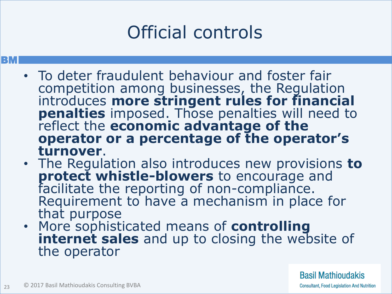## Official controls

#### **BM**

- To deter fraudulent behaviour and foster fair competition among businesses, the Regulation introduces **more stringent rules for financial penalties** imposed. Those penalties will need to reflect the **economic advantage of the operator or a percentage of the operator's turnover**.
- The Regulation also introduces new provisions **to protect whistle-blowers** to encourage and facilitate the reporting of non-compliance. Requirement to have a mechanism in place for that purpose
- More sophisticated means of **controlling internet sales** and up to closing the website of the operator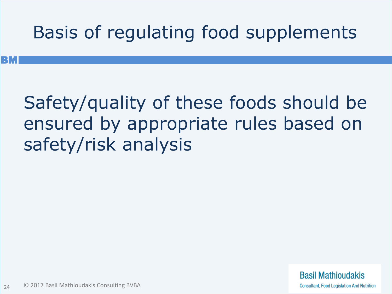## Basis of regulating food supplements

### Safety/quality of these foods should be ensured by appropriate rules based on safety/risk analysis

**Basil Mathioudakis Consultant, Food Legislation And Nutrition**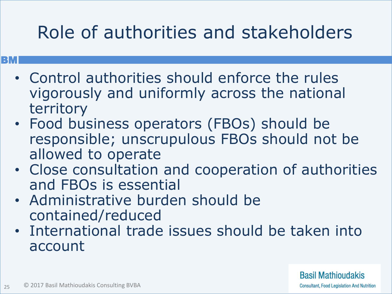## Role of authorities and stakeholders

- **BM** 
	- Control authorities should enforce the rules vigorously and uniformly across the national territory
	- Food business operators (FBOs) should be responsible; unscrupulous FBOs should not be allowed to operate
	- Close consultation and cooperation of authorities and FBOs is essential
	- Administrative burden should be contained/reduced
	- International trade issues should be taken into account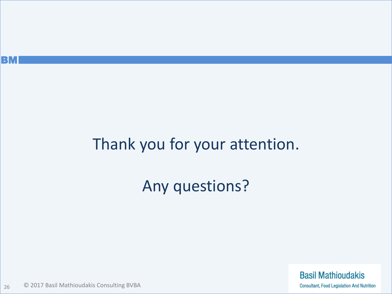

#### Thank you for your attention.

#### Any questions?

**Basil Mathioudakis Consultant, Food Legislation And Nutrition** 

© 2017 Basil Mathioudakis Consulting BVBA 26